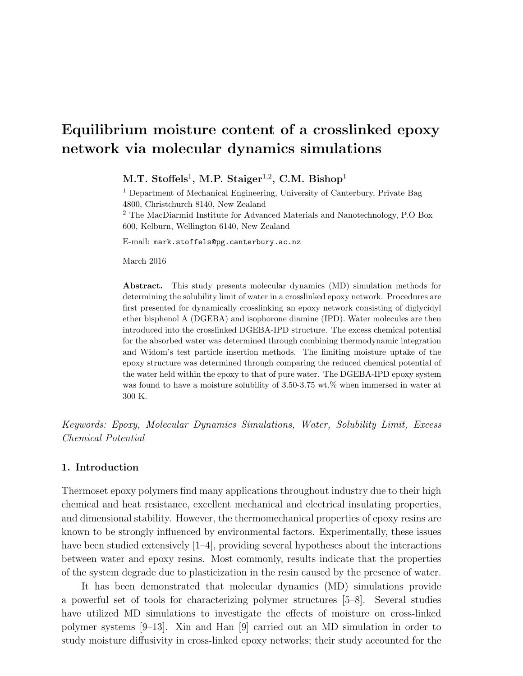# Equilibrium moisture content of a crosslinked epoxy network via molecular dynamics simulations

 $M.T.$  Stoffels<sup>1</sup>, M.P. Staiger<sup>1,2</sup>, C.M. Bishop<sup>1</sup>

<sup>1</sup> Department of Mechanical Engineering, University of Canterbury, Private Bag 4800, Christchurch 8140, New Zealand <sup>2</sup> The MacDiarmid Institute for Advanced Materials and Nanotechnology, P.O Box 600, Kelburn, Wellington 6140, New Zealand

E-mail: mark.stoffels@pg.canterbury.ac.nz

March 2016

Abstract. This study presents molecular dynamics (MD) simulation methods for determining the solubility limit of water in a crosslinked epoxy network. Procedures are first presented for dynamically crosslinking an epoxy network consisting of diglycidyl ether bisphenol A (DGEBA) and isophorone diamine (IPD). Water molecules are then introduced into the crosslinked DGEBA-IPD structure. The excess chemical potential for the absorbed water was determined through combining thermodynamic integration and Widom's test particle insertion methods. The limiting moisture uptake of the epoxy structure was determined through comparing the reduced chemical potential of the water held within the epoxy to that of pure water. The DGEBA-IPD epoxy system was found to have a moisture solubility of 3.50-3.75 wt.% when immersed in water at 300 K.

Keywords: Epoxy, Molecular Dynamics Simulations, Water, Solubility Limit, Excess Chemical Potential

## 1. Introduction

Thermoset epoxy polymers find many applications throughout industry due to their high chemical and heat resistance, excellent mechanical and electrical insulating properties, and dimensional stability. However, the thermomechanical properties of epoxy resins are known to be strongly influenced by environmental factors. Experimentally, these issues have been studied extensively  $[1-4]$ , providing several hypotheses about the interactions between water and epoxy resins. Most commonly, results indicate that the properties of the system degrade due to plasticization in the resin caused by the presence of water.

It has been demonstrated that molecular dynamics (MD) simulations provide a powerful set of tools for characterizing polymer structures [5–8]. Several studies have utilized MD simulations to investigate the effects of moisture on cross-linked polymer systems [9–13]. Xin and Han [9] carried out an MD simulation in order to study moisture diffusivity in cross-linked epoxy networks; their study accounted for the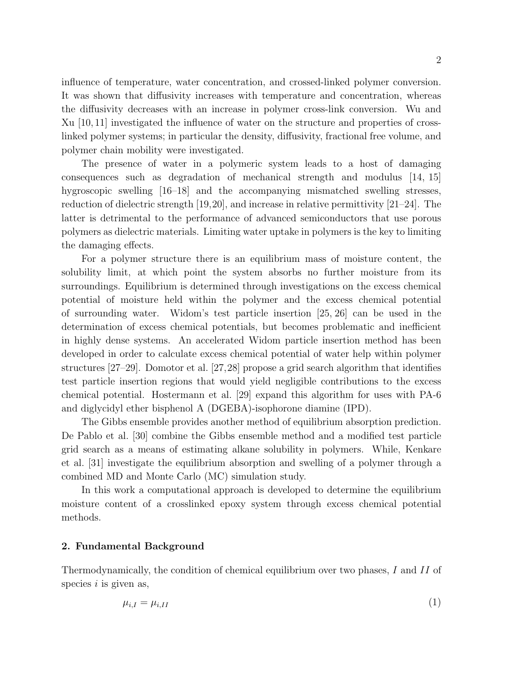influence of temperature, water concentration, and crossed-linked polymer conversion. It was shown that diffusivity increases with temperature and concentration, whereas the diffusivity decreases with an increase in polymer cross-link conversion. Wu and Xu [10, 11] investigated the influence of water on the structure and properties of crosslinked polymer systems; in particular the density, diffusivity, fractional free volume, and polymer chain mobility were investigated.

The presence of water in a polymeric system leads to a host of damaging consequences such as degradation of mechanical strength and modulus [14, 15] hygroscopic swelling [16–18] and the accompanying mismatched swelling stresses, reduction of dielectric strength [19,20], and increase in relative permittivity [21–24]. The latter is detrimental to the performance of advanced semiconductors that use porous polymers as dielectric materials. Limiting water uptake in polymers is the key to limiting the damaging effects.

For a polymer structure there is an equilibrium mass of moisture content, the solubility limit, at which point the system absorbs no further moisture from its surroundings. Equilibrium is determined through investigations on the excess chemical potential of moisture held within the polymer and the excess chemical potential of surrounding water. Widom's test particle insertion [25, 26] can be used in the determination of excess chemical potentials, but becomes problematic and inefficient in highly dense systems. An accelerated Widom particle insertion method has been developed in order to calculate excess chemical potential of water help within polymer structures [27–29]. Domotor et al. [27,28] propose a grid search algorithm that identifies test particle insertion regions that would yield negligible contributions to the excess chemical potential. Hostermann et al. [29] expand this algorithm for uses with PA-6 and diglycidyl ether bisphenol A (DGEBA)-isophorone diamine (IPD).

The Gibbs ensemble provides another method of equilibrium absorption prediction. De Pablo et al. [30] combine the Gibbs ensemble method and a modified test particle grid search as a means of estimating alkane solubility in polymers. While, Kenkare et al. [31] investigate the equilibrium absorption and swelling of a polymer through a combined MD and Monte Carlo (MC) simulation study.

In this work a computational approach is developed to determine the equilibrium moisture content of a crosslinked epoxy system through excess chemical potential methods.

## 2. Fundamental Background

Thermodynamically, the condition of chemical equilibrium over two phases, I and II of species  $i$  is given as,

$$
\mu_{i,I} = \mu_{i,II} \tag{1}
$$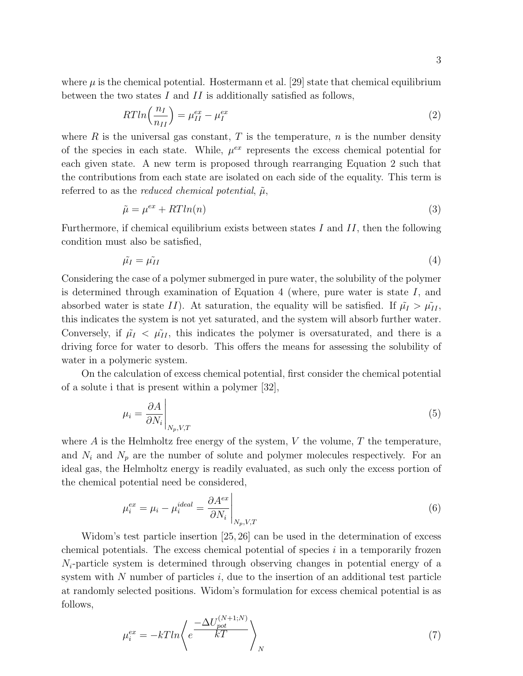where  $\mu$  is the chemical potential. Hostermann et al. [29] state that chemical equilibrium between the two states  $I$  and  $II$  is additionally satisfied as follows,

$$
RTln\left(\frac{n_I}{n_{II}}\right) = \mu_{II}^{ex} - \mu_I^{ex} \tag{2}
$$

where R is the universal gas constant, T is the temperature,  $n$  is the number density of the species in each state. While,  $\mu^{ex}$  represents the excess chemical potential for each given state. A new term is proposed through rearranging Equation 2 such that the contributions from each state are isolated on each side of the equality. This term is referred to as the *reduced chemical potential*,  $\tilde{\mu}$ ,

$$
\tilde{\mu} = \mu^{ex} + RTln(n) \tag{3}
$$

Furthermore, if chemical equilibrium exists between states I and  $II$ , then the following condition must also be satisfied,

$$
\tilde{\mu}_I = \tilde{\mu}_{II} \tag{4}
$$

Considering the case of a polymer submerged in pure water, the solubility of the polymer is determined through examination of Equation 4 (where, pure water is state  $I$ , and absorbed water is state II). At saturation, the equality will be satisfied. If  $\tilde{\mu}_I > \tilde{\mu}_{II}$ , this indicates the system is not yet saturated, and the system will absorb further water. Conversely, if  $\tilde{\mu}_I < \tilde{\mu}_{II}$ , this indicates the polymer is oversaturated, and there is a driving force for water to desorb. This offers the means for assessing the solubility of water in a polymeric system.

On the calculation of excess chemical potential, first consider the chemical potential of a solute i that is present within a polymer [32],

$$
\mu_i = \frac{\partial A}{\partial N_i} \bigg|_{N_p, V, T} \tag{5}
$$

where  $\vec{A}$  is the Helmholtz free energy of the system,  $V$  the volume,  $T$  the temperature, and  $N_i$  and  $N_p$  are the number of solute and polymer molecules respectively. For an ideal gas, the Helmholtz energy is readily evaluated, as such only the excess portion of the chemical potential need be considered,

$$
\mu_i^{ex} = \mu_i - \mu_i^{ideal} = \frac{\partial A^{ex}}{\partial N_i} \bigg|_{N_p, V, T}
$$
\n
$$
(6)
$$

Widom's test particle insertion [25, 26] can be used in the determination of excess chemical potentials. The excess chemical potential of species  $i$  in a temporarily frozen  $N_i$ -particle system is determined through observing changes in potential energy of a system with  $N$  number of particles  $i$ , due to the insertion of an additional test particle at randomly selected positions. Widom's formulation for excess chemical potential is as follows,

$$
\mu_i^{ex} = -kTln\left\langle e^{\frac{-\Delta U_{pot}^{(N+1;N)}}{kT}} \right\rangle_N \tag{7}
$$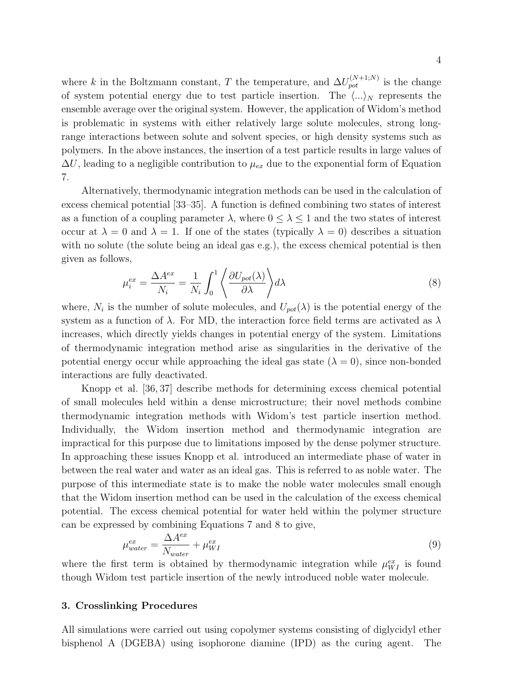where k in the Boltzmann constant, T the temperature, and  $\Delta U_{pot}^{(N+1;N)}$  is the change of system potential energy due to test particle insertion. The  $\langle ... \rangle_N$  represents the ensemble average over the original system. However, the application of Widom's method is problematic in systems with either relatively large solute molecules, strong longrange interactions between solute and solvent species, or high density systems such as polymers. In the above instances, the insertion of a test particle results in large values of  $\Delta U$ , leading to a negligible contribution to  $\mu_{ex}$  due to the exponential form of Equation 7.

Alternatively, thermodynamic integration methods can be used in the calculation of excess chemical potential [33–35]. A function is defined combining two states of interest as a function of a coupling parameter  $\lambda$ , where  $0 \leq \lambda \leq 1$  and the two states of interest occur at  $\lambda = 0$  and  $\lambda = 1$ . If one of the states (typically  $\lambda = 0$ ) describes a situation with no solute (the solute being an ideal gas e.g.), the excess chemical potential is then given as follows,

$$
\mu_i^{ex} = \frac{\Delta A^{ex}}{N_i} = \frac{1}{N_i} \int_0^1 \left\langle \frac{\partial U_{pot}(\lambda)}{\partial \lambda} \right\rangle d\lambda \tag{8}
$$

where,  $N_i$  is the number of solute molecules, and  $U_{pot}(\lambda)$  is the potential energy of the system as a function of  $\lambda$ . For MD, the interaction force field terms are activated as  $\lambda$ increases, which directly yields changes in potential energy of the system. Limitations of thermodynamic integration method arise as singularities in the derivative of the potential energy occur while approaching the ideal gas state  $(\lambda = 0)$ , since non-bonded interactions are fully deactivated.

Knopp et al. [36, 37] describe methods for determining excess chemical potential of small molecules held within a dense microstructure; their novel methods combine thermodynamic integration methods with Widom's test particle insertion method. Individually, the Widom insertion method and thermodynamic integration are impractical for this purpose due to limitations imposed by the dense polymer structure. In approaching these issues Knopp et al. introduced an intermediate phase of water in between the real water and water as an ideal gas. This is referred to as noble water. The purpose of this intermediate state is to make the noble water molecules small enough that the Widom insertion method can be used in the calculation of the excess chemical potential. The excess chemical potential for water held within the polymer structure can be expressed by combining Equations 7 and 8 to give,

$$
\mu_{water}^{ex} = \frac{\Delta A^{ex}}{N_{water}} + \mu_{WI}^{ex} \tag{9}
$$

where the first term is obtained by thermodynamic integration while  $\mu_{WI}^{ex}$  is found though Widom test particle insertion of the newly introduced noble water molecule.

## 3. Crosslinking Procedures

All simulations were carried out using copolymer systems consisting of diglycidyl ether bisphenol A (DGEBA) using isophorone diamine (IPD) as the curing agent. The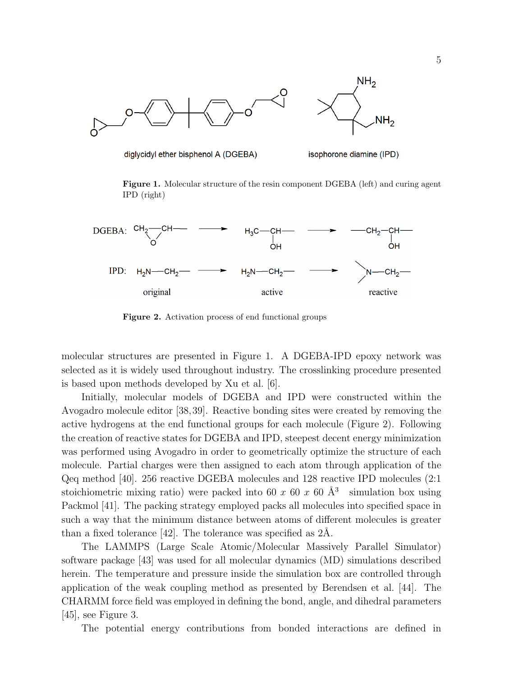

diglycidyl ether bisphenol A (DGEBA)

isophorone diamine (IPD)

Figure 1. Molecular structure of the resin component DGEBA (left) and curing agent IPD (right)



Figure 2. Activation process of end functional groups

molecular structures are presented in Figure 1. A DGEBA-IPD epoxy network was selected as it is widely used throughout industry. The crosslinking procedure presented is based upon methods developed by Xu et al. [6].

Initially, molecular models of DGEBA and IPD were constructed within the Avogadro molecule editor [38,39]. Reactive bonding sites were created by removing the active hydrogens at the end functional groups for each molecule (Figure 2). Following the creation of reactive states for DGEBA and IPD, steepest decent energy minimization was performed using Avogadro in order to geometrically optimize the structure of each molecule. Partial charges were then assigned to each atom through application of the Qeq method [40]. 256 reactive DGEBA molecules and 128 reactive IPD molecules (2:1 stoichiometric mixing ratio) were packed into 60 x 60 x 60  $\AA$ <sup>3</sup> simulation box using Packmol [41]. The packing strategy employed packs all molecules into specified space in such a way that the minimum distance between atoms of different molecules is greater than a fixed tolerance  $[42]$ . The tolerance was specified as  $2\text{\AA}$ .

The LAMMPS (Large Scale Atomic/Molecular Massively Parallel Simulator) software package [43] was used for all molecular dynamics (MD) simulations described herein. The temperature and pressure inside the simulation box are controlled through application of the weak coupling method as presented by Berendsen et al. [44]. The CHARMM force field was employed in defining the bond, angle, and dihedral parameters [45], see Figure 3.

The potential energy contributions from bonded interactions are defined in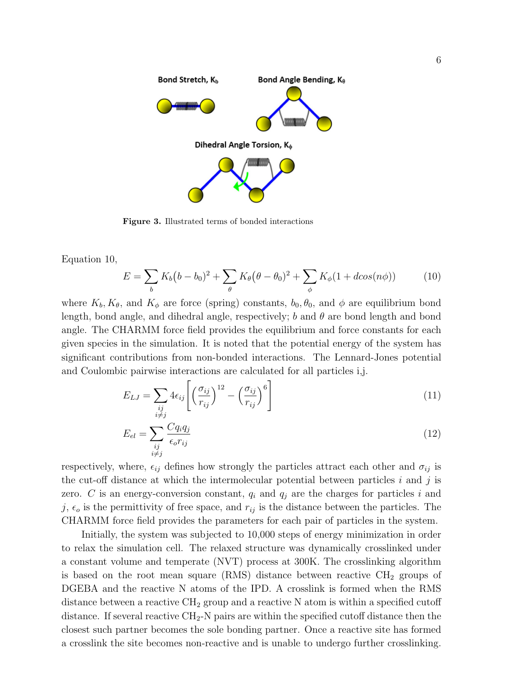

Figure 3. Illustrated terms of bonded interactions

Equation 10,

$$
E = \sum_{b} K_b (b - b_0)^2 + \sum_{\theta} K_{\theta} (\theta - \theta_0)^2 + \sum_{\phi} K_{\phi} (1 + d\cos(n\phi))
$$
 (10)

where  $K_b, K_\theta$ , and  $K_\phi$  are force (spring) constants,  $b_0, \theta_0$ , and  $\phi$  are equilibrium bond length, bond angle, and dihedral angle, respectively; b and  $\theta$  are bond length and bond angle. The CHARMM force field provides the equilibrium and force constants for each given species in the simulation. It is noted that the potential energy of the system has significant contributions from non-bonded interactions. The Lennard-Jones potential and Coulombic pairwise interactions are calculated for all particles i,j.

$$
E_{LJ} = \sum_{\substack{ij \\ i \neq j}} 4\epsilon_{ij} \left[ \left( \frac{\sigma_{ij}}{r_{ij}} \right)^{12} - \left( \frac{\sigma_{ij}}{r_{ij}} \right)^6 \right]
$$
 (11)

$$
E_{el} = \sum_{\substack{ij \\ i \neq j}} \frac{Cq_i q_j}{\epsilon_o r_{ij}} \tag{12}
$$

respectively, where,  $\epsilon_{ij}$  defines how strongly the particles attract each other and  $\sigma_{ij}$  is the cut-off distance at which the intermolecular potential between particles  $i$  and  $j$  is zero. C is an energy-conversion constant,  $q_i$  and  $q_j$  are the charges for particles i and j,  $\epsilon_o$  is the permittivity of free space, and  $r_{ij}$  is the distance between the particles. The CHARMM force field provides the parameters for each pair of particles in the system.

Initially, the system was subjected to 10,000 steps of energy minimization in order to relax the simulation cell. The relaxed structure was dynamically crosslinked under a constant volume and temperate (NVT) process at 300K. The crosslinking algorithm is based on the root mean square (RMS) distance between reactive  $\text{CH}_2$  groups of DGEBA and the reactive N atoms of the IPD. A crosslink is formed when the RMS distance between a reactive  $\text{CH}_2$  group and a reactive N atom is within a specified cutoff distance. If several reactive  $\text{CH}_2\text{-N}$  pairs are within the specified cutoff distance then the closest such partner becomes the sole bonding partner. Once a reactive site has formed a crosslink the site becomes non-reactive and is unable to undergo further crosslinking.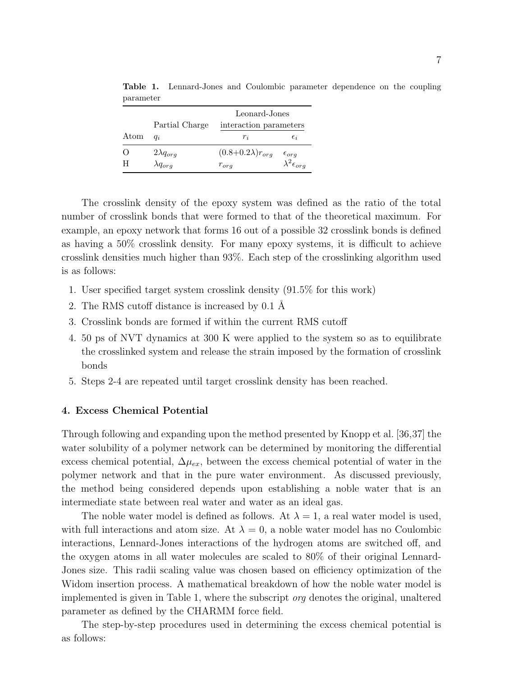|                  | Partial Charge     | Leonard-Jones<br>interaction parameters |                            |
|------------------|--------------------|-----------------------------------------|----------------------------|
| Atom             | $q_i$              | $r_{i}$                                 | $\epsilon_i$               |
| $\left( \right)$ | $2\lambda q_{org}$ | $(0.8+0.2\lambda)r_{org}$               | $\epsilon_{org}$           |
| H                | $\lambda q_{orq}$  | $r_{org}$                               | $\lambda^2 \epsilon_{org}$ |

Table 1. Lennard-Jones and Coulombic parameter dependence on the coupling parameter

The crosslink density of the epoxy system was defined as the ratio of the total number of crosslink bonds that were formed to that of the theoretical maximum. For example, an epoxy network that forms 16 out of a possible 32 crosslink bonds is defined as having a 50% crosslink density. For many epoxy systems, it is difficult to achieve crosslink densities much higher than 93%. Each step of the crosslinking algorithm used is as follows:

- 1. User specified target system crosslink density (91.5% for this work)
- 2. The RMS cutoff distance is increased by 0.1 Å
- 3. Crosslink bonds are formed if within the current RMS cutoff
- 4. 50 ps of NVT dynamics at 300 K were applied to the system so as to equilibrate the crosslinked system and release the strain imposed by the formation of crosslink bonds
- 5. Steps 2-4 are repeated until target crosslink density has been reached.

## 4. Excess Chemical Potential

Through following and expanding upon the method presented by Knopp et al. [36,37] the water solubility of a polymer network can be determined by monitoring the differential excess chemical potential,  $\Delta \mu_{ex}$ , between the excess chemical potential of water in the polymer network and that in the pure water environment. As discussed previously, the method being considered depends upon establishing a noble water that is an intermediate state between real water and water as an ideal gas.

The noble water model is defined as follows. At  $\lambda = 1$ , a real water model is used, with full interactions and atom size. At  $\lambda = 0$ , a noble water model has no Coulombic interactions, Lennard-Jones interactions of the hydrogen atoms are switched off, and the oxygen atoms in all water molecules are scaled to 80% of their original Lennard-Jones size. This radii scaling value was chosen based on efficiency optimization of the Widom insertion process. A mathematical breakdown of how the noble water model is implemented is given in Table 1, where the subscript org denotes the original, unaltered parameter as defined by the CHARMM force field.

The step-by-step procedures used in determining the excess chemical potential is as follows: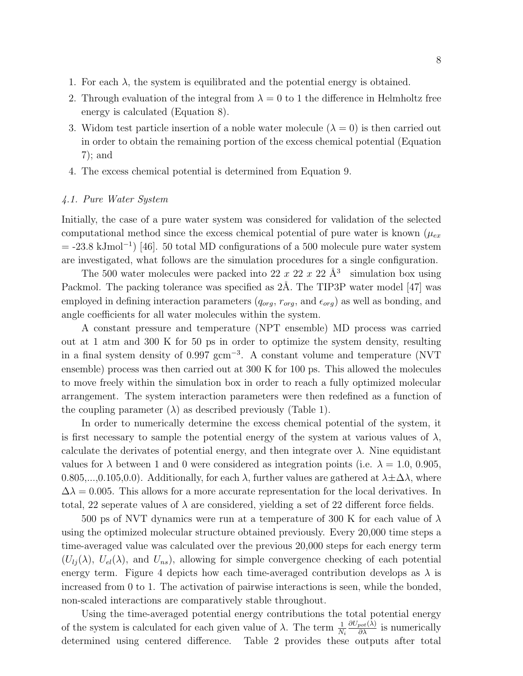- 1. For each  $\lambda$ , the system is equilibrated and the potential energy is obtained.
- 2. Through evaluation of the integral from  $\lambda = 0$  to 1 the difference in Helmholtz free energy is calculated (Equation 8).
- 3. Widom test particle insertion of a noble water molecule  $(\lambda = 0)$  is then carried out in order to obtain the remaining portion of the excess chemical potential (Equation 7); and
- 4. The excess chemical potential is determined from Equation 9.

#### 4.1. Pure Water System

Initially, the case of a pure water system was considered for validation of the selected computational method since the excess chemical potential of pure water is known  $(\mu_{ex}$  $=$  -23.8 kJmol<sup>-1</sup>) [46]. 50 total MD configurations of a 500 molecule pure water system are investigated, what follows are the simulation procedures for a single configuration.

The 500 water molecules were packed into 22 x 22 x 22  $\AA$ <sup>3</sup> simulation box using Packmol. The packing tolerance was specified as  $2\text{\AA}$ . The TIP3P water model [47] was employed in defining interaction parameters  $(q_{org}, r_{org}, \text{and } \epsilon_{org})$  as well as bonding, and angle coefficients for all water molecules within the system.

A constant pressure and temperature (NPT ensemble) MD process was carried out at 1 atm and 300 K for 50 ps in order to optimize the system density, resulting in a final system density of 0.997 gcm<sup>−</sup><sup>3</sup> . A constant volume and temperature (NVT ensemble) process was then carried out at 300 K for 100 ps. This allowed the molecules to move freely within the simulation box in order to reach a fully optimized molecular arrangement. The system interaction parameters were then redefined as a function of the coupling parameter  $(\lambda)$  as described previously (Table 1).

In order to numerically determine the excess chemical potential of the system, it is first necessary to sample the potential energy of the system at various values of  $\lambda$ , calculate the derivates of potential energy, and then integrate over  $\lambda$ . Nine equidistant values for  $\lambda$  between 1 and 0 were considered as integration points (i.e.  $\lambda = 1.0, 0.905,$ 0.805,...,0.105,0.0). Additionally, for each  $\lambda$ , further values are gathered at  $\lambda \pm \Delta \lambda$ , where  $\Delta\lambda = 0.005$ . This allows for a more accurate representation for the local derivatives. In total, 22 seperate values of  $\lambda$  are considered, yielding a set of 22 different force fields.

500 ps of NVT dynamics were run at a temperature of 300 K for each value of  $\lambda$ using the optimized molecular structure obtained previously. Every 20,000 time steps a time-averaged value was calculated over the previous 20,000 steps for each energy term  $(U_{lj}(\lambda), U_{el}(\lambda))$ , and  $U_{ns}$ , allowing for simple convergence checking of each potential energy term. Figure 4 depicts how each time-averaged contribution develops as  $\lambda$  is increased from 0 to 1. The activation of pairwise interactions is seen, while the bonded, non-scaled interactions are comparatively stable throughout.

Using the time-averaged potential energy contributions the total potential energy of the system is calculated for each given value of  $\lambda$ . The term  $\frac{1}{N_i}$  $\frac{\partial U_{pot}(\lambda)}{\partial \lambda}$  is numerically determined using centered difference. Table 2 provides these outputs after total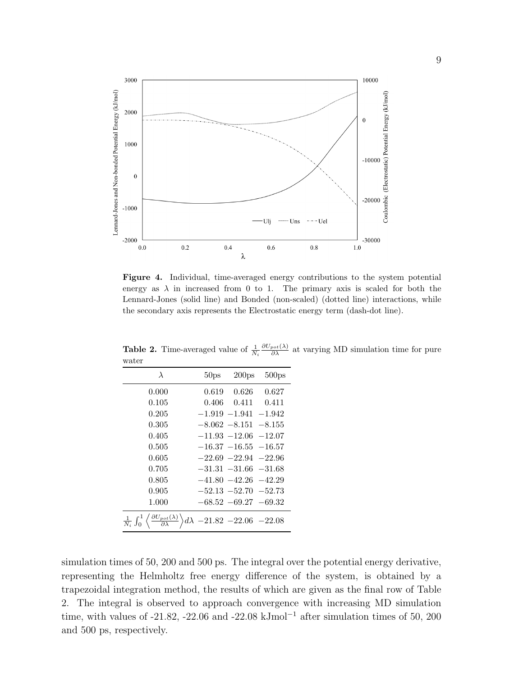

Figure 4. Individual, time-averaged energy contributions to the system potential energy as  $\lambda$  in increased from 0 to 1. The primary axis is scaled for both the Lennard-Jones (solid line) and Bonded (non-scaled) (dotted line) interactions, while the secondary axis represents the Electrostatic energy term (dash-dot line).

| water                                                                                                                       |                  |                          |                   |
|-----------------------------------------------------------------------------------------------------------------------------|------------------|--------------------------|-------------------|
| $\lambda$                                                                                                                   | 50 <sub>ps</sub> | 200 <sub>ps</sub>        | 500 <sub>ps</sub> |
| 0.000                                                                                                                       |                  | $0.619$ $0.626$          | 0.627             |
| 0.105                                                                                                                       |                  | $0.406$ $0.411$ $0.411$  |                   |
| 0.205                                                                                                                       |                  | $-1.919 - 1.941 - 1.942$ |                   |
| 0.305                                                                                                                       |                  | $-8.062 - 8.151 - 8.155$ |                   |
| 0.405                                                                                                                       |                  | $-11.93 -12.06 -12.07$   |                   |
| 0.505                                                                                                                       |                  | $-16.37 - 16.55 - 16.57$ |                   |
| 0.605                                                                                                                       |                  | $-22.69 - 22.94 - 22.96$ |                   |
| 0.705                                                                                                                       |                  | $-31.31 -31.66 -31.68$   |                   |
| 0.805                                                                                                                       |                  | $-41.80 - 42.26 - 42.29$ |                   |
| 0.905                                                                                                                       |                  | $-52.13 - 52.70 - 52.73$ |                   |
| 1.000                                                                                                                       |                  | $-68.52 - 69.27 - 69.32$ |                   |
| $\frac{1}{N_i} \int_0^1 \left( \frac{\partial U_{pot}(\lambda)}{\partial \lambda} \right) d\lambda - 21.82 - 22.06 - 22.08$ |                  |                          |                   |

**Table 2.** Time-averaged value of  $\frac{1}{N_i}$  $\frac{\partial U_{pot}(\lambda)}{\partial \lambda}$  at varying MD simulation time for pure water

simulation times of 50, 200 and 500 ps. The integral over the potential energy derivative, representing the Helmholtz free energy difference of the system, is obtained by a trapezoidal integration method, the results of which are given as the final row of Table 2. The integral is observed to approach convergence with increasing MD simulation time, with values of -21.82, -22.06 and -22.08 kJmol<sup>-1</sup> after simulation times of 50, 200 and 500 ps, respectively.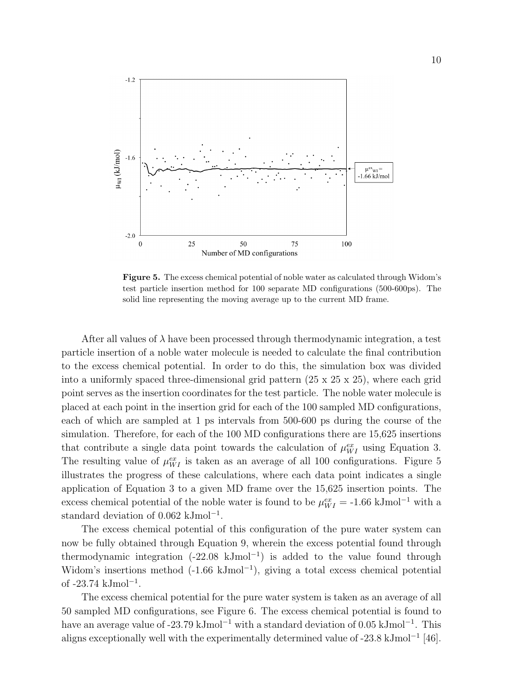

Figure 5. The excess chemical potential of noble water as calculated through Widom's test particle insertion method for 100 separate MD configurations (500-600ps). The solid line representing the moving average up to the current MD frame.

After all values of  $\lambda$  have been processed through thermodynamic integration, a test particle insertion of a noble water molecule is needed to calculate the final contribution to the excess chemical potential. In order to do this, the simulation box was divided into a uniformly spaced three-dimensional grid pattern  $(25 \times 25 \times 25)$ , where each grid point serves as the insertion coordinates for the test particle. The noble water molecule is placed at each point in the insertion grid for each of the 100 sampled MD configurations, each of which are sampled at 1 ps intervals from 500-600 ps during the course of the simulation. Therefore, for each of the 100 MD configurations there are 15,625 insertions that contribute a single data point towards the calculation of  $\mu_{WI}^{ex}$  using Equation 3. The resulting value of  $\mu_{WI}^{ex}$  is taken as an average of all 100 configurations. Figure 5 illustrates the progress of these calculations, where each data point indicates a single application of Equation 3 to a given MD frame over the 15,625 insertion points. The excess chemical potential of the noble water is found to be  $\mu_{WI}^{ex} = -1.66 \text{ kJmol}^{-1}$  with a standard deviation of 0.062 kJmol<sup>-1</sup>.

The excess chemical potential of this configuration of the pure water system can now be fully obtained through Equation 9, wherein the excess potential found through thermodynamic integration  $(-22.08 \text{ kJmol}^{-1})$  is added to the value found through Widom's insertions method  $(-1.66 \text{ kJmol}^{-1})$ , giving a total excess chemical potential of -23.74 kJmol<sup>-1</sup>.

The excess chemical potential for the pure water system is taken as an average of all 50 sampled MD configurations, see Figure 6. The excess chemical potential is found to have an average value of -23.79 kJmol<sup>-1</sup> with a standard deviation of 0.05 kJmol<sup>-1</sup>. This aligns exceptionally well with the experimentally determined value of -23.8 kJmol<sup>−</sup><sup>1</sup> [46].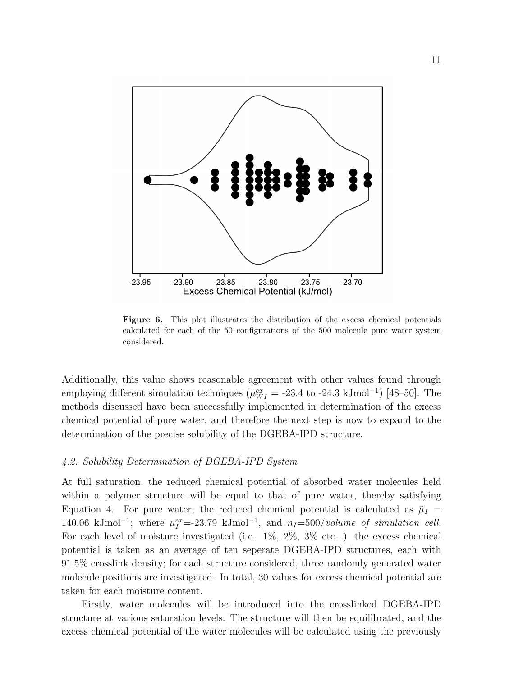

Figure 6. This plot illustrates the distribution of the excess chemical potentials calculated for each of the 50 configurations of the 500 molecule pure water system considered.

Additionally, this value shows reasonable agreement with other values found through employing different simulation techniques ( $\mu_{WI}^{ex} = -23.4$  to -24.3 kJmol<sup>-1</sup>) [48–50]. The methods discussed have been successfully implemented in determination of the excess chemical potential of pure water, and therefore the next step is now to expand to the determination of the precise solubility of the DGEBA-IPD structure.

## 4.2. Solubility Determination of DGEBA-IPD System

At full saturation, the reduced chemical potential of absorbed water molecules held within a polymer structure will be equal to that of pure water, thereby satisfying Equation 4. For pure water, the reduced chemical potential is calculated as  $\tilde{\mu}_I$  = 140.06 kJmol<sup>-1</sup>; where  $\mu_I^{ex}$ =-23.79 kJmol<sup>-1</sup>, and  $n_I$ =500/volume of simulation cell. For each level of moisture investigated (i.e.  $1\%$ ,  $2\%$ ,  $3\%$  etc...) the excess chemical potential is taken as an average of ten seperate DGEBA-IPD structures, each with 91.5% crosslink density; for each structure considered, three randomly generated water molecule positions are investigated. In total, 30 values for excess chemical potential are taken for each moisture content.

Firstly, water molecules will be introduced into the crosslinked DGEBA-IPD structure at various saturation levels. The structure will then be equilibrated, and the excess chemical potential of the water molecules will be calculated using the previously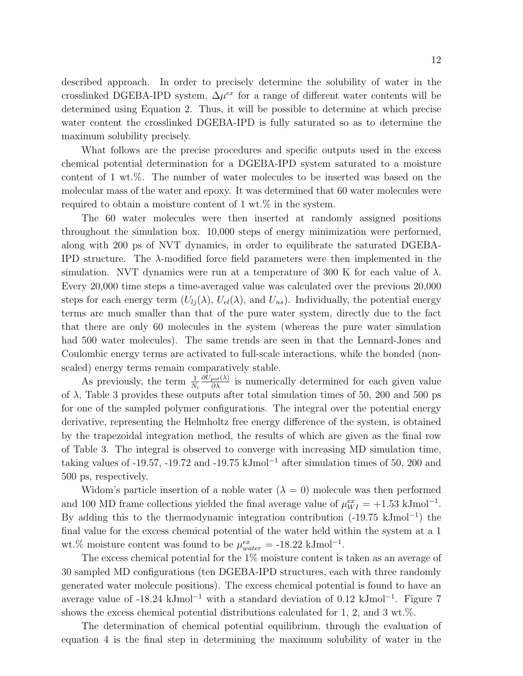described approach. In order to precisely determine the solubility of water in the crosslinked DGEBA-IPD system,  $\Delta \mu^{ex}$  for a range of different water contents will be determined using Equation 2. Thus, it will be possible to determine at which precise water content the crosslinked DGEBA-IPD is fully saturated so as to determine the maximum solubility precisely.

What follows are the precise procedures and specific outputs used in the excess chemical potential determination for a DGEBA-IPD system saturated to a moisture content of 1 wt.%. The number of water molecules to be inserted was based on the molecular mass of the water and epoxy. It was determined that 60 water molecules were required to obtain a moisture content of 1 wt.% in the system.

The 60 water molecules were then inserted at randomly assigned positions throughout the simulation box. 10,000 steps of energy minimization were performed, along with 200 ps of NVT dynamics, in order to equilibrate the saturated DGEBA-IPD structure. The λ-modified force field parameters were then implemented in the simulation. NVT dynamics were run at a temperature of 300 K for each value of  $\lambda$ . Every 20,000 time steps a time-averaged value was calculated over the previous 20,000 steps for each energy term  $(U_{li}(\lambda), U_{el}(\lambda))$ , and  $U_{ns}$ ). Individually, the potential energy terms are much smaller than that of the pure water system, directly due to the fact that there are only 60 molecules in the system (whereas the pure water simulation had 500 water molecules). The same trends are seen in that the Lennard-Jones and Coulombic energy terms are activated to full-scale interactions, while the bonded (nonscaled) energy terms remain comparatively stable.

As previously, the term  $\frac{1}{N_i}$  $\frac{\partial U_{pot}(\lambda)}{\partial \lambda}$  is numerically determined for each given value of  $\lambda$ , Table 3 provides these outputs after total simulation times of 50, 200 and 500 ps for one of the sampled polymer configurations. The integral over the potential energy derivative, representing the Helmholtz free energy difference of the system, is obtained by the trapezoidal integration method, the results of which are given as the final row of Table 3. The integral is observed to converge with increasing MD simulation time, taking values of -19.57, -19.72 and -19.75 kJmol<sup>-1</sup> after simulation times of 50, 200 and 500 ps, respectively.

Widom's particle insertion of a noble water  $(\lambda = 0)$  molecule was then performed and 100 MD frame collections yielded the final average value of  $\mu_{WI}^{ex} = +1.53 \text{ kJ} \text{mol}^{-1}$ . By adding this to the thermodynamic integration contribution (-19.75 kJmol<sup>−</sup><sup>1</sup> ) the final value for the excess chemical potential of the water held within the system at a 1 wt.% moisture content was found to be  $\mu_{water}^{ex} = -18.22 \text{ kJ} \text{mol}^{-1}$ .

The excess chemical potential for the 1% moisture content is taken as an average of 30 sampled MD configurations (ten DGEBA-IPD structures, each with three randomly generated water molecule positions). The excess chemical potential is found to have an average value of -18.24 kJmol<sup>-1</sup> with a standard deviation of 0.12 kJmol<sup>-1</sup>. Figure 7 shows the excess chemical potential distributions calculated for 1, 2, and 3 wt.%.

The determination of chemical potential equilibrium, through the evaluation of equation 4 is the final step in determining the maximum solubility of water in the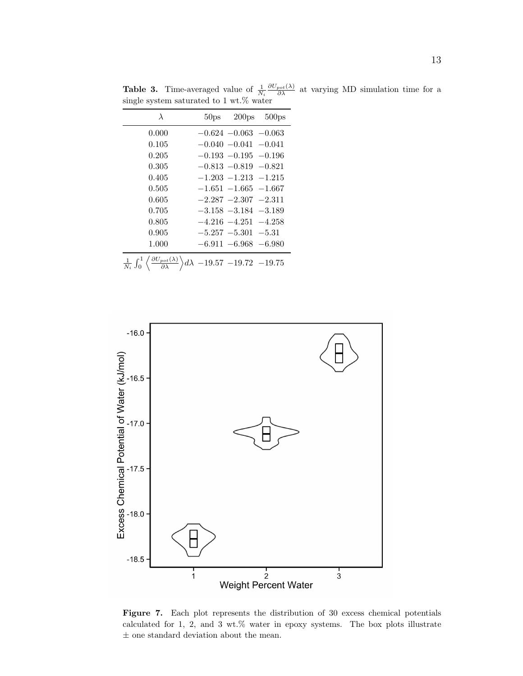**Table 3.** Time-averaged value of  $\frac{1}{N_i}$  $\frac{\partial U_{pot}(\lambda)}{\partial \lambda}$  at varying MD simulation time for a single system saturated to 1 wt.% water

| $\lambda$                                                                                                                               | 50 <sub>ps</sub> | 200 <sub>ps</sub>        | 500 <sub>ps</sub> |
|-----------------------------------------------------------------------------------------------------------------------------------------|------------------|--------------------------|-------------------|
| 0.000                                                                                                                                   |                  | $-0.624 - 0.063 - 0.063$ |                   |
| 0.105                                                                                                                                   |                  | $-0.040 - 0.041 - 0.041$ |                   |
| 0.205                                                                                                                                   |                  | $-0.193 - 0.195 - 0.196$ |                   |
| 0.305                                                                                                                                   |                  | $-0.813 - 0.819 - 0.821$ |                   |
| 0.405                                                                                                                                   |                  | $-1.203 - 1.213 - 1.215$ |                   |
| 0.505                                                                                                                                   |                  | $-1.651 - 1.665 - 1.667$ |                   |
| 0.605                                                                                                                                   |                  | $-2.287 - 2.307 - 2.311$ |                   |
| 0.705                                                                                                                                   |                  | $-3.158 - 3.184 - 3.189$ |                   |
| 0.805                                                                                                                                   |                  | $-4.216 - 4.251 - 4.258$ |                   |
| 0.905                                                                                                                                   |                  | $-5.257 - 5.301 - 5.31$  |                   |
| 1.000                                                                                                                                   |                  | $-6.911 - 6.968 - 6.980$ |                   |
| $\frac{1}{N_i} \int_0^1 \left\langle \frac{\partial U_{pot}(\lambda)}{\partial \lambda} \right\rangle d\lambda - 19.57 - 19.72 - 19.75$ |                  |                          |                   |



Figure 7. Each plot represents the distribution of 30 excess chemical potentials calculated for 1, 2, and 3 wt.% water in epoxy systems. The box plots illustrate  $\pm$  one standard deviation about the mean.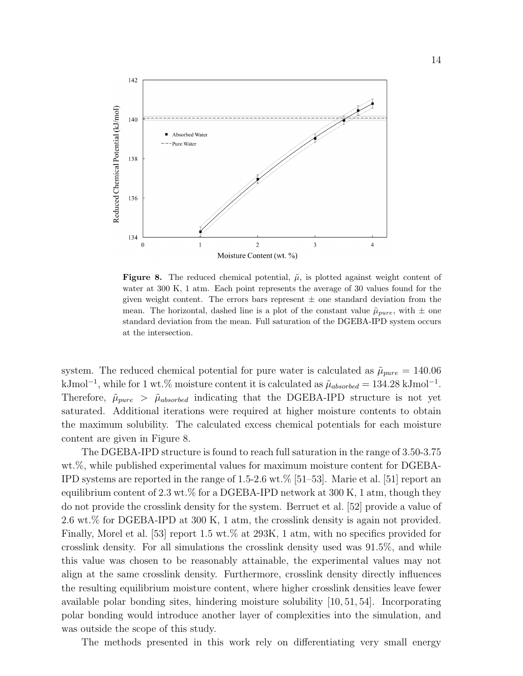

**Figure 8.** The reduced chemical potential,  $\tilde{\mu}$ , is plotted against weight content of water at 300 K, 1 atm. Each point represents the average of 30 values found for the given weight content. The errors bars represent  $\pm$  one standard deviation from the mean. The horizontal, dashed line is a plot of the constant value  $\tilde{\mu}_{pure}$ , with  $\pm$  one standard deviation from the mean. Full saturation of the DGEBA-IPD system occurs at the intersection.

system. The reduced chemical potential for pure water is calculated as  $\tilde{\mu}_{pure} = 140.06$ kJmol<sup>-1</sup>, while for 1 wt.% moisture content it is calculated as  $\tilde{\mu}_{absorbed} = 134.28 \text{ kJ} \text{mol}^{-1}$ . Therefore,  $\tilde{\mu}_{pure} > \tilde{\mu}_{absorbed}$  indicating that the DGEBA-IPD structure is not yet saturated. Additional iterations were required at higher moisture contents to obtain the maximum solubility. The calculated excess chemical potentials for each moisture content are given in Figure 8.

The DGEBA-IPD structure is found to reach full saturation in the range of 3.50-3.75 wt.%, while published experimental values for maximum moisture content for DGEBA-IPD systems are reported in the range of 1.5-2.6 wt.% [51–53]. Marie et al. [51] report an equilibrium content of 2.3 wt.% for a DGEBA-IPD network at  $300 \text{ K}$ , 1 atm, though they do not provide the crosslink density for the system. Berruet et al. [52] provide a value of 2.6 wt.% for DGEBA-IPD at 300 K, 1 atm, the crosslink density is again not provided. Finally, Morel et al. [53] report 1.5 wt.% at 293K, 1 atm, with no specifics provided for crosslink density. For all simulations the crosslink density used was 91.5%, and while this value was chosen to be reasonably attainable, the experimental values may not align at the same crosslink density. Furthermore, crosslink density directly influences the resulting equilibrium moisture content, where higher crosslink densities leave fewer available polar bonding sites, hindering moisture solubility [10, 51, 54]. Incorporating polar bonding would introduce another layer of complexities into the simulation, and was outside the scope of this study.

The methods presented in this work rely on differentiating very small energy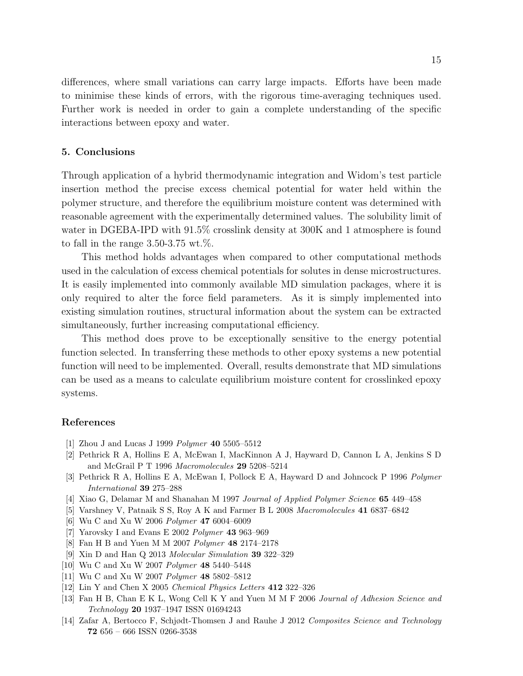differences, where small variations can carry large impacts. Efforts have been made to minimise these kinds of errors, with the rigorous time-averaging techniques used. Further work is needed in order to gain a complete understanding of the specific interactions between epoxy and water.

#### 5. Conclusions

Through application of a hybrid thermodynamic integration and Widom's test particle insertion method the precise excess chemical potential for water held within the polymer structure, and therefore the equilibrium moisture content was determined with reasonable agreement with the experimentally determined values. The solubility limit of water in DGEBA-IPD with 91.5% crosslink density at 300K and 1 atmosphere is found to fall in the range  $3.50-3.75$  wt.%.

This method holds advantages when compared to other computational methods used in the calculation of excess chemical potentials for solutes in dense microstructures. It is easily implemented into commonly available MD simulation packages, where it is only required to alter the force field parameters. As it is simply implemented into existing simulation routines, structural information about the system can be extracted simultaneously, further increasing computational efficiency.

This method does prove to be exceptionally sensitive to the energy potential function selected. In transferring these methods to other epoxy systems a new potential function will need to be implemented. Overall, results demonstrate that MD simulations can be used as a means to calculate equilibrium moisture content for crosslinked epoxy systems.

#### References

- [1] Zhou J and Lucas J 1999 Polymer 40 5505–5512
- [2] Pethrick R A, Hollins E A, McEwan I, MacKinnon A J, Hayward D, Cannon L A, Jenkins S D and McGrail P T 1996 Macromolecules 29 5208–5214
- [3] Pethrick R A, Hollins E A, McEwan I, Pollock E A, Hayward D and Johncock P 1996 Polymer International 39 275–288
- [4] Xiao G, Delamar M and Shanahan M 1997 Journal of Applied Polymer Science 65 449–458
- [5] Varshney V, Patnaik S S, Roy A K and Farmer B L 2008 Macromolecules 41 6837–6842
- [6] Wu C and Xu W 2006 Polymer 47 6004–6009
- [7] Yarovsky I and Evans E 2002 Polymer 43 963–969
- [8] Fan H B and Yuen M M 2007 Polymer 48 2174–2178
- [9] Xin D and Han Q 2013 Molecular Simulation 39 322–329
- [10] Wu C and Xu W 2007 Polymer 48 5440–5448
- [11] Wu C and Xu W 2007 Polymer 48 5802–5812
- [12] Lin Y and Chen X 2005 Chemical Physics Letters 412 322–326
- [13] Fan H B, Chan E K L, Wong Cell K Y and Yuen M M F 2006 Journal of Adhesion Science and Technology 20 1937–1947 ISSN 01694243
- [14] Zafar A, Bertocco F, Schjødt-Thomsen J and Rauhe J 2012 Composites Science and Technology 72 656 – 666 ISSN 0266-3538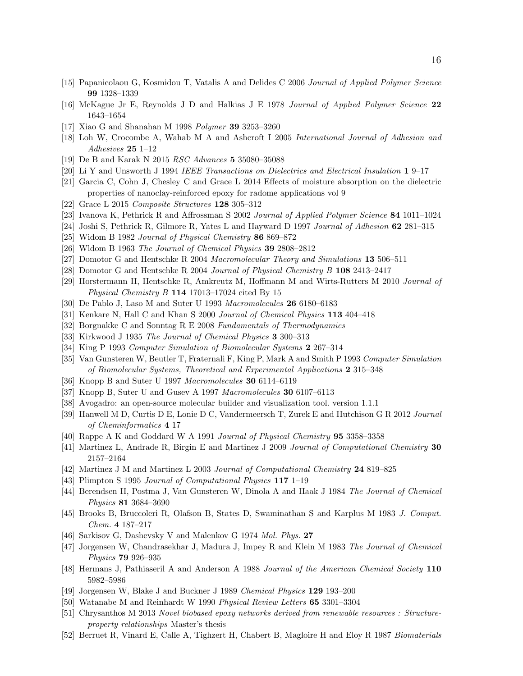- [15] Papanicolaou G, Kosmidou T, Vatalis A and Delides C 2006 Journal of Applied Polymer Science 99 1328–1339
- [16] McKague Jr E, Reynolds J D and Halkias J E 1978 Journal of Applied Polymer Science 22 1643–1654
- [17] Xiao G and Shanahan M 1998 Polymer 39 3253–3260
- [18] Loh W, Crocombe A, Wahab M A and Ashcroft I 2005 International Journal of Adhesion and Adhesives 25 1–12
- [19] De B and Karak N 2015 RSC Advances 5 35080–35088
- [20] Li Y and Unsworth J 1994 IEEE Transactions on Dielectrics and Electrical Insulation 1 9–17
- [21] Garcia C, Cohn J, Chesley C and Grace L 2014 Effects of moisture absorption on the dielectric properties of nanoclay-reinforced epoxy for radome applications vol 9
- [22] Grace L 2015 Composite Structures 128 305–312
- [23] Ivanova K, Pethrick R and Affrossman S 2002 Journal of Applied Polymer Science 84 1011–1024
- [24] Joshi S, Pethrick R, Gilmore R, Yates L and Hayward D 1997 Journal of Adhesion 62 281–315
- [25] Widom B 1982 Journal of Physical Chemistry 86 869–872
- [26] Wldom B 1963 The Journal of Chemical Physics 39 2808–2812
- [27] Domotor G and Hentschke R 2004 Macromolecular Theory and Simulations 13 506–511
- [28] Domotor G and Hentschke R 2004 Journal of Physical Chemistry B 108 2413–2417
- [29] Horstermann H, Hentschke R, Amkreutz M, Hoffmann M and Wirts-Rutters M 2010 Journal of Physical Chemistry B 114 17013–17024 cited By 15
- [30] De Pablo J, Laso M and Suter U 1993 Macromolecules 26 6180–6183
- [31] Kenkare N, Hall C and Khan S 2000 Journal of Chemical Physics 113 404–418
- [32] Borgnakke C and Sonntag R E 2008 Fundamentals of Thermodynamics
- [33] Kirkwood J 1935 The Journal of Chemical Physics 3 300-313
- [34] King P 1993 Computer Simulation of Biomolecular Systems 2 267–314
- [35] Van Gunsteren W, Beutler T, Fraternali F, King P, Mark A and Smith P 1993 Computer Simulation of Biomolecular Systems, Theoretical and Experimental Applications 2 315–348
- [36] Knopp B and Suter U 1997 Macromolecules 30 6114–6119
- [37] Knopp B, Suter U and Gusev A 1997 Macromolecules 30 6107–6113
- [38] Avogadro: an open-source molecular builder and visualization tool. version 1.1.1
- [39] Hanwell M D, Curtis D E, Lonie D C, Vandermeersch T, Zurek E and Hutchison G R 2012 Journal of Cheminformatics 4 17
- [40] Rappe A K and Goddard W A 1991 Journal of Physical Chemistry 95 3358–3358
- [41] Martinez L, Andrade R, Birgin E and Martinez J 2009 Journal of Computational Chemistry 30 2157–2164
- [42] Martinez J M and Martinez L 2003 Journal of Computational Chemistry 24 819–825
- [43] Plimpton S 1995 Journal of Computational Physics 117 1–19
- [44] Berendsen H, Postma J, Van Gunsteren W, Dinola A and Haak J 1984 The Journal of Chemical Physics 81 3684–3690
- [45] Brooks B, Bruccoleri R, Olafson B, States D, Swaminathan S and Karplus M 1983 J. Comput. Chem. 4 187–217
- [46] Sarkisov G, Dashevsky V and Malenkov G 1974 Mol. Phys. 27
- [47] Jorgensen W, Chandrasekhar J, Madura J, Impey R and Klein M 1983 The Journal of Chemical Physics 79 926–935
- [48] Hermans J, Pathiaseril A and Anderson A 1988 Journal of the American Chemical Society 110 5982–5986
- [49] Jorgensen W, Blake J and Buckner J 1989 Chemical Physics 129 193–200
- [50] Watanabe M and Reinhardt W 1990 Physical Review Letters 65 3301–3304
- [51] Chrysanthos M 2013 Novel biobased epoxy networks derived from renewable resources : Structureproperty relationships Master's thesis
- [52] Berruet R, Vinard E, Calle A, Tighzert H, Chabert B, Magloire H and Eloy R 1987 Biomaterials